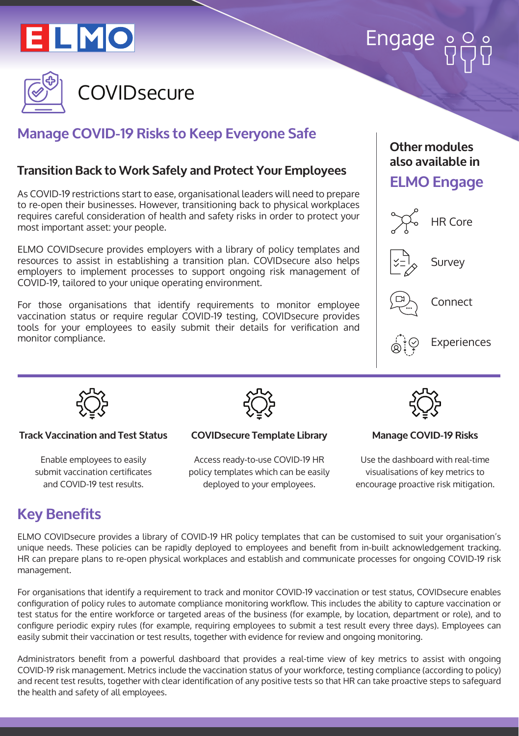

# Engage



# **Manage COVID-19 Risks to Keep Everyone Safe**

## **Transition Back to Work Safely and Protect Your Employees**

As COVID-19 restrictions start to ease, organisational leaders will need to prepare to re-open their businesses. However, transitioning back to physical workplaces requires careful consideration of health and safety risks in order to protect your most important asset: your people.

ELMO COVIDsecure provides employers with a library of policy templates and resources to assist in establishing a transition plan. COVIDsecure also helps employers to implement processes to support ongoing risk management of COVID-19, tailored to your unique operating environment.

For those organisations that identify requirements to monitor employee vaccination status or require regular COVID-19 testing, COVIDsecure provides tools for your employees to easily submit their details for verification and monitor compliance.

### **Other modules also available in**

## **ELMO Engage**





#### **Track Vaccination and Test Status**

Enable employees to easily submit vaccination certificates and COVID-19 test results.



#### **COVIDsecure Template Library**

Access ready-to-use COVID-19 HR policy templates which can be easily deployed to your employees.



#### **Manage COVID-19 Risks**

Use the dashboard with real-time visualisations of key metrics to encourage proactive risk mitigation.

## **Key Benefits**

ELMO COVIDsecure provides a library of COVID-19 HR policy templates that can be customised to suit your organisation's unique needs. These policies can be rapidly deployed to employees and benefit from in-built acknowledgement tracking. HR can prepare plans to re-open physical workplaces and establish and communicate processes for ongoing COVID-19 risk management.

For organisations that identify a requirement to track and monitor COVID-19 vaccination or test status, COVIDsecure enables configuration of policy rules to automate compliance monitoring workflow. This includes the ability to capture vaccination or test status for the entire workforce or targeted areas of the business (for example, by location, department or role), and to configure periodic expiry rules (for example, requiring employees to submit a test result every three days). Employees can easily submit their vaccination or test results, together with evidence for review and ongoing monitoring.

Administrators benefit from a powerful dashboard that provides a real-time view of key metrics to assist with ongoing COVID-19 risk management. Metrics include the vaccination status of your workforce, testing compliance (according to policy) and recent test results, together with clear identification of any positive tests so that HR can take proactive steps to safeguard the health and safety of all employees.